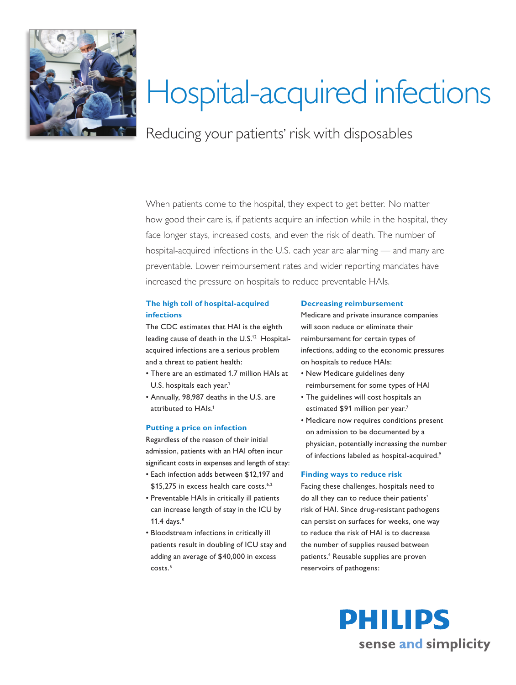

# Hospital-acquired infections

Reducing your patients' risk with disposables

When patients come to the hospital, they expect to get better. No matter how good their care is, if patients acquire an infection while in the hospital, they face longer stays, increased costs, and even the risk of death. The number of hospital-acquired infections in the U.S. each year are alarming — and many are preventable. Lower reimbursement rates and wider reporting mandates have increased the pressure on hospitals to reduce preventable HAIs.

## **The high toll of hospital-acquired infections**

The CDC estimates that HAI is the eighth leading cause of death in the U.S.<sup>12</sup> Hospitalacquired infections are a serious problem and a threat to patient health:

- There are an estimated 1.7 million HAIs at U.S. hospitals each year.<sup>1</sup>
- Annually, 98,987 deaths in the U.S. are attributed to HAIs.<sup>1</sup>

### **Putting a price on infection**

Regardless of the reason of their initial admission, patients with an HAI often incur significant costs in expenses and length of stay:

- Each infection adds between \$12,197 and \$15,275 in excess health care costs.<sup>6,2</sup>
- Preventable HAIs in critically ill patients can increase length of stay in the ICU by 11.4 days. $8$
- Bloodstream infections in critically ill patients result in doubling of ICU stay and adding an average of \$40,000 in excess costs.<sup>5</sup>

#### **Decreasing reimbursement**

Medicare and private insurance companies will soon reduce or eliminate their reimbursement for certain types of infections, adding to the economic pressures on hospitals to reduce HAIs:

- New Medicare guidelines deny reimbursement for some types of HAI
- The guidelines will cost hospitals an estimated \$91 million per year.<sup>7</sup>
- Medicare now requires conditions present on admission to be documented by a physician, potentially increasing the number of infections labeled as hospital-acquired.9

#### **Finding ways to reduce risk**

Facing these challenges, hospitals need to do all they can to reduce their patients' risk of HAI. Since drug-resistant pathogens can persist on surfaces for weeks, one way to reduce the risk of HAI is to decrease the number of supplies reused between patients.4 Reusable supplies are proven reservoirs of pathogens: